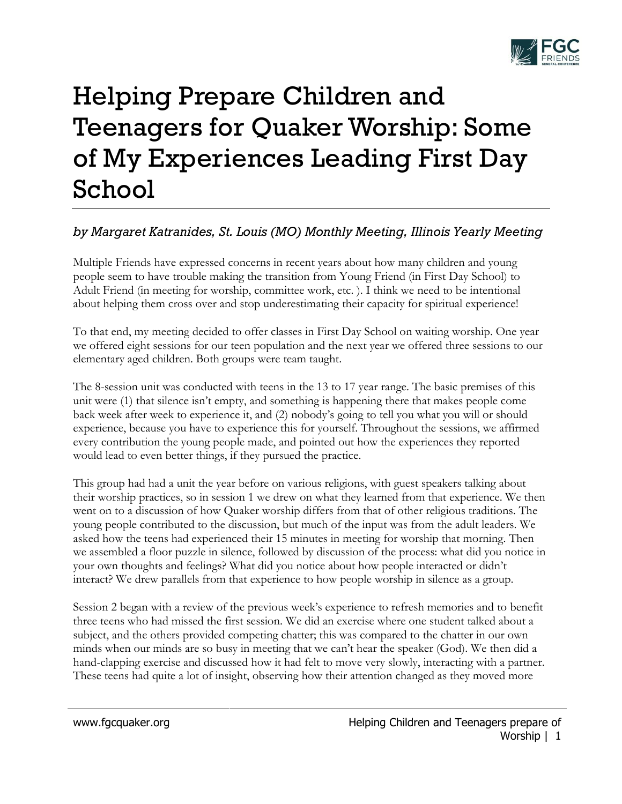

## Helping Prepare Children and Teenagers for Quaker Worship: Some of My Experiences Leading First Day School

## *by Margaret Katranides, St. Louis (MO) Monthly Meeting, Illinois Yearly Meeting*

Multiple Friends have expressed concerns in recent years about how many children and young people seem to have trouble making the transition from Young Friend (in First Day School) to Adult Friend (in meeting for worship, committee work, etc. ). I think we need to be intentional about helping them cross over and stop underestimating their capacity for spiritual experience!

To that end, my meeting decided to offer classes in First Day School on waiting worship. One year we offered eight sessions for our teen population and the next year we offered three sessions to our elementary aged children. Both groups were team taught.

The 8-session unit was conducted with teens in the 13 to 17 year range. The basic premises of this unit were (1) that silence isn't empty, and something is happening there that makes people come back week after week to experience it, and (2) nobody's going to tell you what you will or should experience, because you have to experience this for yourself. Throughout the sessions, we affirmed every contribution the young people made, and pointed out how the experiences they reported would lead to even better things, if they pursued the practice.

This group had had a unit the year before on various religions, with guest speakers talking about their worship practices, so in session 1 we drew on what they learned from that experience. We then went on to a discussion of how Quaker worship differs from that of other religious traditions. The young people contributed to the discussion, but much of the input was from the adult leaders. We asked how the teens had experienced their 15 minutes in meeting for worship that morning. Then we assembled a floor puzzle in silence, followed by discussion of the process: what did you notice in your own thoughts and feelings? What did you notice about how people interacted or didn't interact? We drew parallels from that experience to how people worship in silence as a group.

Session 2 began with a review of the previous week's experience to refresh memories and to benefit three teens who had missed the first session. We did an exercise where one student talked about a subject, and the others provided competing chatter; this was compared to the chatter in our own minds when our minds are so busy in meeting that we can't hear the speaker (God). We then did a hand-clapping exercise and discussed how it had felt to move very slowly, interacting with a partner. These teens had quite a lot of insight, observing how their attention changed as they moved more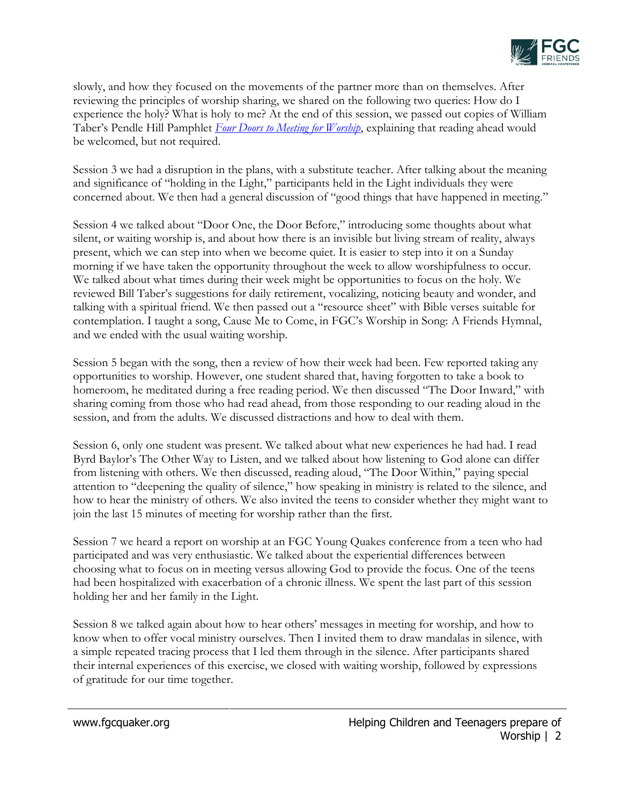

slowly, and how they focused on the movements of the partner more than on themselves. After reviewing the principles of worship sharing, we shared on the following two queries: How do I experience the holy? What is holy to me? At the end of this session, we passed out copies of William Taber's Pendle Hill Pamphlet *[Four Doors to Meeting for Worship](http://www.quakerbooks.org/get/0-87574-306-4)*, explaining that reading ahead would be welcomed, but not required.

Session 3 we had a disruption in the plans, with a substitute teacher. After talking about the meaning and significance of "holding in the Light," participants held in the Light individuals they were concerned about. We then had a general discussion of "good things that have happened in meeting."

Session 4 we talked about "Door One, the Door Before," introducing some thoughts about what silent, or waiting worship is, and about how there is an invisible but living stream of reality, always present, which we can step into when we become quiet. It is easier to step into it on a Sunday morning if we have taken the opportunity throughout the week to allow worshipfulness to occur. We talked about what times during their week might be opportunities to focus on the holy. We reviewed Bill Taber's suggestions for daily retirement, vocalizing, noticing beauty and wonder, and talking with a spiritual friend. We then passed out a "resource sheet" with Bible verses suitable for contemplation. I taught a song, Cause Me to Come, in FGC's Worship in Song: A Friends Hymnal, and we ended with the usual waiting worship.

Session 5 began with the song, then a review of how their week had been. Few reported taking any opportunities to worship. However, one student shared that, having forgotten to take a book to homeroom, he meditated during a free reading period. We then discussed "The Door Inward," with sharing coming from those who had read ahead, from those responding to our reading aloud in the session, and from the adults. We discussed distractions and how to deal with them.

Session 6, only one student was present. We talked about what new experiences he had had. I read Byrd Baylor's The Other Way to Listen, and we talked about how listening to God alone can differ from listening with others. We then discussed, reading aloud, "The Door Within," paying special attention to "deepening the quality of silence," how speaking in ministry is related to the silence, and how to hear the ministry of others. We also invited the teens to consider whether they might want to join the last 15 minutes of meeting for worship rather than the first.

Session 7 we heard a report on worship at an FGC Young Quakes conference from a teen who had participated and was very enthusiastic. We talked about the experiential differences between choosing what to focus on in meeting versus allowing God to provide the focus. One of the teens had been hospitalized with exacerbation of a chronic illness. We spent the last part of this session holding her and her family in the Light.

Session 8 we talked again about how to hear others' messages in meeting for worship, and how to know when to offer vocal ministry ourselves. Then I invited them to draw mandalas in silence, with a simple repeated tracing process that I led them through in the silence. After participants shared their internal experiences of this exercise, we closed with waiting worship, followed by expressions of gratitude for our time together.